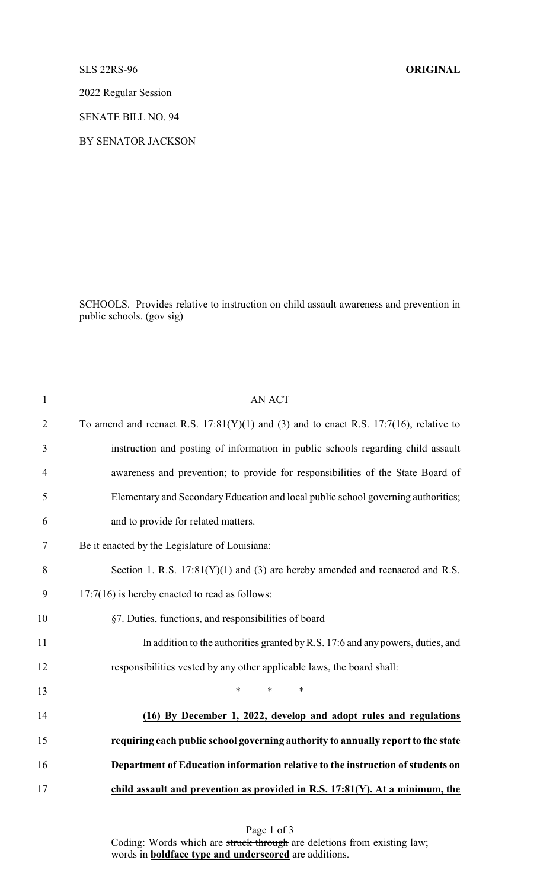SLS 22RS-96 **ORIGINAL**

2022 Regular Session

SENATE BILL NO. 94

BY SENATOR JACKSON

SCHOOLS. Provides relative to instruction on child assault awareness and prevention in public schools. (gov sig)

| $\mathbf{1}$   | <b>AN ACT</b>                                                                              |
|----------------|--------------------------------------------------------------------------------------------|
| $\overline{2}$ | To amend and reenact R.S. $17:81(Y)(1)$ and (3) and to enact R.S. $17:7(16)$ , relative to |
| 3              | instruction and posting of information in public schools regarding child assault           |
| $\overline{4}$ | awareness and prevention; to provide for responsibilities of the State Board of            |
| 5              | Elementary and Secondary Education and local public school governing authorities;          |
| 6              | and to provide for related matters.                                                        |
| 7              | Be it enacted by the Legislature of Louisiana:                                             |
| 8              | Section 1. R.S. $17:81(Y)(1)$ and (3) are hereby amended and reenacted and R.S.            |
| 9              | $17:7(16)$ is hereby enacted to read as follows:                                           |
| 10             | §7. Duties, functions, and responsibilities of board                                       |
| 11             | In addition to the authorities granted by R.S. 17:6 and any powers, duties, and            |
| 12             | responsibilities vested by any other applicable laws, the board shall:                     |
| 13             | $\ast$<br>$\ast$<br>*                                                                      |
| 14             | (16) By December 1, 2022, develop and adopt rules and regulations                          |
| 15             | requiring each public school governing authority to annually report to the state           |
| 16             | Department of Education information relative to the instruction of students on             |
| 17             | child assault and prevention as provided in R.S. 17:81(Y). At a minimum, the               |

Page 1 of 3 Coding: Words which are struck through are deletions from existing law; words in **boldface type and underscored** are additions.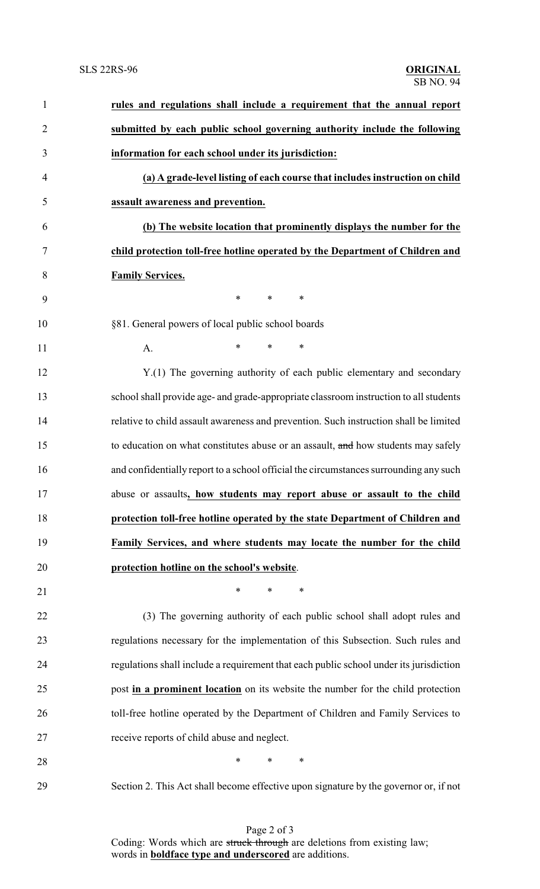| 1              | rules and regulations shall include a requirement that the annual report               |
|----------------|----------------------------------------------------------------------------------------|
| $\overline{2}$ | submitted by each public school governing authority include the following              |
| 3              | information for each school under its jurisdiction:                                    |
| $\overline{4}$ | (a) A grade-level listing of each course that includes instruction on child            |
| 5              | assault awareness and prevention.                                                      |
| 6              | (b) The website location that prominently displays the number for the                  |
| 7              | child protection toll-free hotline operated by the Department of Children and          |
| 8              | <b>Family Services.</b>                                                                |
| 9              | $\ast$<br>$\ast$<br>$\ast$                                                             |
| 10             | §81. General powers of local public school boards                                      |
| 11             | $\ast$<br>$\ast$<br>$\ast$<br>A.                                                       |
| 12             | Y.(1) The governing authority of each public elementary and secondary                  |
| 13             | school shall provide age- and grade-appropriate classroom instruction to all students  |
| 14             | relative to child assault awareness and prevention. Such instruction shall be limited  |
| 15             | to education on what constitutes abuse or an assault, and how students may safely      |
| 16             | and confidentially report to a school official the circumstances surrounding any such  |
| 17             | abuse or assaults, how students may report abuse or assault to the child               |
| 18             | protection toll-free hotline operated by the state Department of Children and          |
| 19             | Family Services, and where students may locate the number for the child                |
| 20             | protection hotline on the school's website.                                            |
| 21             | $\ast$<br>*<br>∗                                                                       |
| 22             | (3) The governing authority of each public school shall adopt rules and                |
| 23             | regulations necessary for the implementation of this Subsection. Such rules and        |
| 24             | regulations shall include a requirement that each public school under its jurisdiction |
| 25             | post in a prominent location on its website the number for the child protection        |
| 26             | toll-free hotline operated by the Department of Children and Family Services to        |
| 27             | receive reports of child abuse and neglect.                                            |
| 28             | $\ast$<br>*<br>$\ast$                                                                  |
| 29             | Section 2. This Act shall become effective upon signature by the governor or, if not   |

Page 2 of 3 Coding: Words which are struck through are deletions from existing law; words in **boldface type and underscored** are additions.